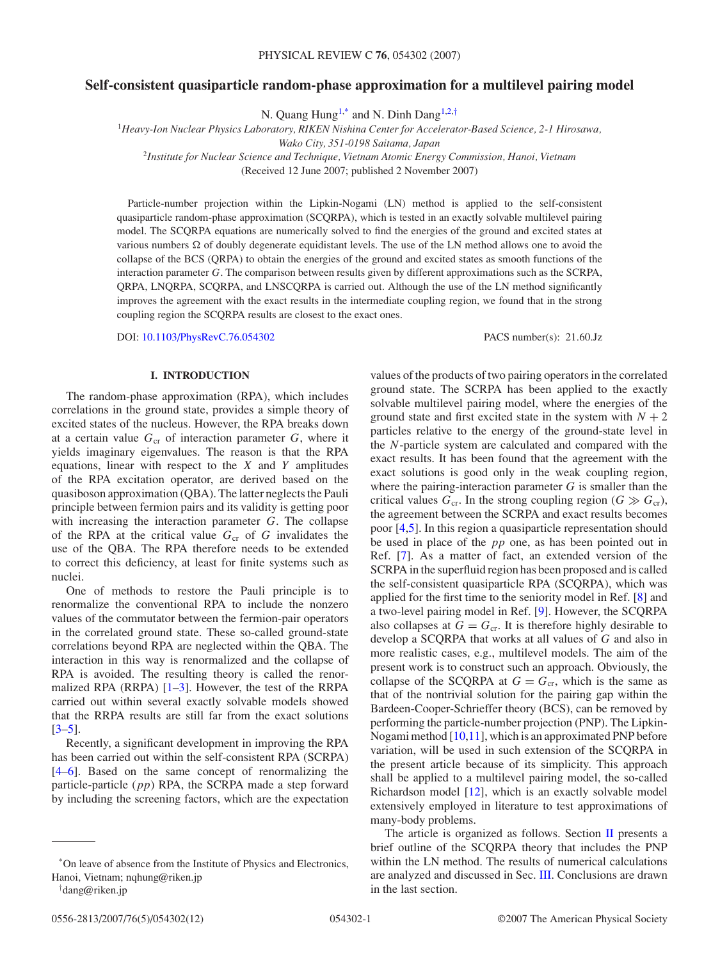# **Self-consistent quasiparticle random-phase approximation for a multilevel pairing model**

N. Quang Hung<sup>1,\*</sup> and N. Dinh Dang<sup>1,2,†</sup>

<sup>1</sup>*Heavy-Ion Nuclear Physics Laboratory, RIKEN Nishina Center for Accelerator-Based Science, 2-1 Hirosawa,*

*Wako City, 351-0198 Saitama, Japan*

<sup>2</sup>*Institute for Nuclear Science and Technique, Vietnam Atomic Energy Commission, Hanoi, Vietnam*

(Received 12 June 2007; published 2 November 2007)

Particle-number projection within the Lipkin-Nogami (LN) method is applied to the self-consistent quasiparticle random-phase approximation (SCQRPA), which is tested in an exactly solvable multilevel pairing model. The SCQRPA equations are numerically solved to find the energies of the ground and excited states at various numbers  $\Omega$  of doubly degenerate equidistant levels. The use of the LN method allows one to avoid the collapse of the BCS (QRPA) to obtain the energies of the ground and excited states as smooth functions of the interaction parameter *G*. The comparison between results given by different approximations such as the SCRPA, QRPA, LNQRPA, SCQRPA, and LNSCQRPA is carried out. Although the use of the LN method significantly improves the agreement with the exact results in the intermediate coupling region, we found that in the strong coupling region the SCQRPA results are closest to the exact ones.

DOI: [10.1103/PhysRevC.76.054302](http://dx.doi.org/10.1103/PhysRevC.76.054302) PACS number(s): 21*.*60*.*Jz

### **I. INTRODUCTION**

The random-phase approximation (RPA), which includes correlations in the ground state, provides a simple theory of excited states of the nucleus. However, the RPA breaks down at a certain value  $G_{cr}$  of interaction parameter  $G$ , where it yields imaginary eigenvalues. The reason is that the RPA equations, linear with respect to the *X* and *Y* amplitudes of the RPA excitation operator, are derived based on the quasiboson approximation (QBA). The latter neglects the Pauli principle between fermion pairs and its validity is getting poor with increasing the interaction parameter *G*. The collapse of the RPA at the critical value  $G_{cr}$  of  $G$  invalidates the use of the QBA. The RPA therefore needs to be extended to correct this deficiency, at least for finite systems such as nuclei.

One of methods to restore the Pauli principle is to renormalize the conventional RPA to include the nonzero values of the commutator between the fermion-pair operators in the correlated ground state. These so-called ground-state correlations beyond RPA are neglected within the QBA. The interaction in this way is renormalized and the collapse of RPA is avoided. The resulting theory is called the renormalized RPA (RRPA)  $[1-3]$ . However, the test of the RRPA carried out within several exactly solvable models showed that the RRPA results are still far from the exact solutions  $[3-5]$ .

Recently, a significant development in improving the RPA has been carried out within the self-consistent RPA (SCRPA) [\[4–6\]](#page-11-0). Based on the same concept of renormalizing the particle-particle (*pp*) RPA, the SCRPA made a step forward by including the screening factors, which are the expectation

values of the products of two pairing operators in the correlated ground state. The SCRPA has been applied to the exactly solvable multilevel pairing model, where the energies of the ground state and first excited state in the system with  $N + 2$ particles relative to the energy of the ground-state level in the *N*-particle system are calculated and compared with the exact results. It has been found that the agreement with the exact solutions is good only in the weak coupling region, where the pairing-interaction parameter *G* is smaller than the critical values  $G_{cr}$ . In the strong coupling region ( $G \gg G_{cr}$ ), the agreement between the SCRPA and exact results becomes poor [\[4,5\]](#page-11-0). In this region a quasiparticle representation should be used in place of the *pp* one, as has been pointed out in Ref. [\[7\]](#page-11-0). As a matter of fact, an extended version of the SCRPA in the superfluid region has been proposed and is called the self-consistent quasiparticle RPA (SCQRPA), which was applied for the first time to the seniority model in Ref. [\[8\]](#page-11-0) and a two-level pairing model in Ref. [\[9\]](#page-11-0). However, the SCQRPA also collapses at  $G = G_{cr}$ . It is therefore highly desirable to develop a SCQRPA that works at all values of *G* and also in more realistic cases, e.g., multilevel models. The aim of the present work is to construct such an approach. Obviously, the collapse of the SCQRPA at  $G = G_{cr}$ , which is the same as that of the nontrivial solution for the pairing gap within the Bardeen-Cooper-Schrieffer theory (BCS), can be removed by performing the particle-number projection (PNP). The Lipkin-Nogami method [\[10,11\]](#page-11-0), which is an approximated PNP before variation, will be used in such extension of the SCQRPA in the present article because of its simplicity. This approach shall be applied to a multilevel pairing model, the so-called Richardson model [\[12\]](#page-11-0), which is an exactly solvable model extensively employed in literature to test approximations of many-body problems. The article is organized as follows. Section  $II$  presents a

brief outline of the SCQRPA theory that includes the PNP within the LN method. The results of numerical calculations are analyzed and discussed in Sec. [III.](#page-5-0) Conclusions are drawn in the last section.

<sup>\*</sup>On leave of absence from the Institute of Physics and Electronics, Hanoi, Vietnam; nqhung@riken.jp

<sup>†</sup> dang@riken.jp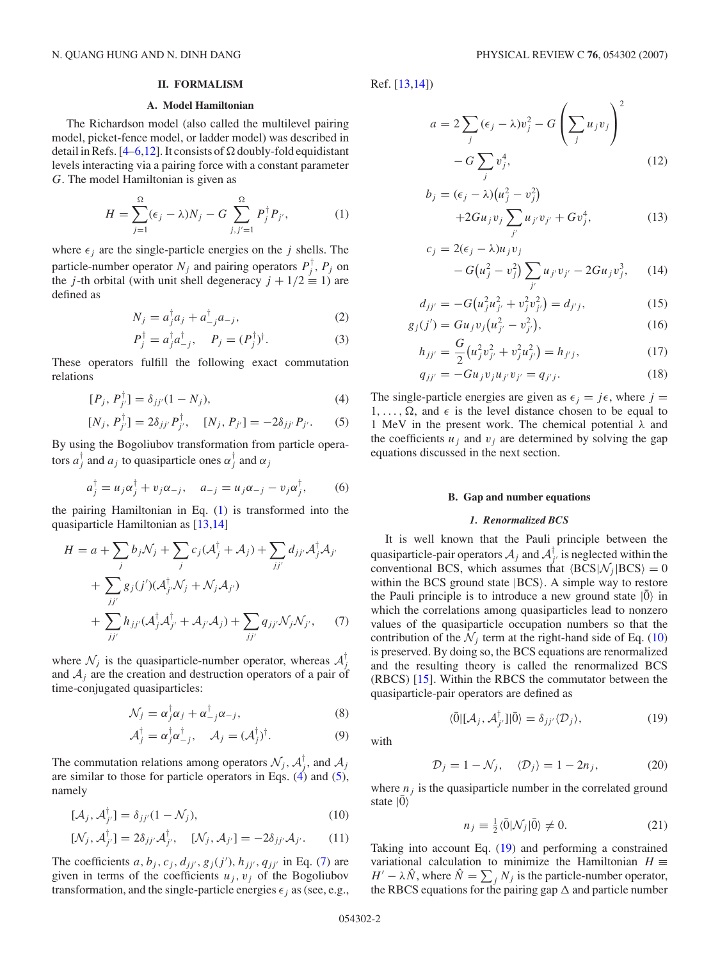#### **II. FORMALISM**

# **A. Model Hamiltonian**

<span id="page-1-0"></span>The Richardson model (also called the multilevel pairing model, picket-fence model, or ladder model) was described in detail in Refs. [\[4–6,12\]](#page-11-0). It consists of  $\Omega$  doubly-fold equidistant levels interacting via a pairing force with a constant parameter *G*. The model Hamiltonian is given as

$$
H = \sum_{j=1}^{\Omega} (\epsilon_j - \lambda) N_j - G \sum_{j,j'=1}^{\Omega} P_j^{\dagger} P_{j'},
$$
 (1)

where  $\epsilon_j$  are the single-particle energies on the *j* shells. The particle-number operator  $N_j$  and pairing operators  $P_j^{\dagger}$ ,  $P_j$  on the *j*-th orbital (with unit shell degeneracy  $j + 1/2 \equiv 1$ ) are defined as

$$
N_j = a_j^{\dagger} a_j + a_{j}^{\dagger} a_{-j}, \qquad (2)
$$

$$
P_j^{\dagger} = a_j^{\dagger} a_{-j}^{\dagger}, \quad P_j = (P_j^{\dagger})^{\dagger}.
$$
 (3)

These operators fulfill the following exact commutation relations

$$
[P_j, P_{j'}^{\dagger}] = \delta_{jj'} (1 - N_j), \tag{4}
$$

$$
[N_j, P_{j'}^{\dagger}] = 2\delta_{jj'} P_{j'}^{\dagger}, \quad [N_j, P_{j'}] = -2\delta_{jj'} P_{j'}.
$$
 (5)

By using the Bogoliubov transformation from particle operators  $a_j^{\dagger}$  and  $a_j$  to quasiparticle ones  $\alpha_j^{\dagger}$  and  $\alpha_j$ 

$$
a_j^{\dagger} = u_j \alpha_j^{\dagger} + v_j \alpha_{-j}, \quad a_{-j} = u_j \alpha_{-j} - v_j \alpha_j^{\dagger},
$$
 (6)

the pairing Hamiltonian in Eq. (1) is transformed into the quasiparticle Hamiltonian as [\[13,14\]](#page-11-0)

$$
H = a + \sum_{j} b_{j} \mathcal{N}_{j} + \sum_{j} c_{j} (\mathcal{A}_{j}^{\dagger} + \mathcal{A}_{j}) + \sum_{jj'} d_{jj'} \mathcal{A}_{j}^{\dagger} \mathcal{A}_{j'}
$$
  
+ 
$$
\sum_{jj'} g_{j}(j') (\mathcal{A}_{j'}^{\dagger} \mathcal{N}_{j} + \mathcal{N}_{j} \mathcal{A}_{j'})
$$
  
+ 
$$
\sum_{jj'} h_{jj'} (\mathcal{A}_{j}^{\dagger} \mathcal{A}_{j'}^{\dagger} + \mathcal{A}_{j'} \mathcal{A}_{j}) + \sum_{jj'} q_{jj'} \mathcal{N}_{j} \mathcal{N}_{j'}, \quad (7)
$$

where  $\mathcal{N}_j$  is the quasiparticle-number operator, whereas  $\mathcal{A}_j^{\dagger}$ and  $A_i$  are the creation and destruction operators of a pair of time-conjugated quasiparticles:

$$
\mathcal{N}_j = \alpha_j^{\mathsf{T}} \alpha_j + \alpha_{-j}^{\mathsf{T}} \alpha_{-j},\tag{8}
$$

$$
\mathcal{A}_j^\dagger = \alpha_j^\dagger \alpha_{-j}^\dagger, \quad \mathcal{A}_j = (\mathcal{A}_j^\dagger)^\dagger. \tag{9}
$$

The commutation relations among operators  $\mathcal{N}_j$ ,  $\mathcal{A}_j^{\dagger}$ , and  $\mathcal{A}_j$ are similar to those for particle operators in Eqs.  $(4)$  and  $(5)$ , namely

$$
[\mathcal{A}_j, \mathcal{A}_{j'}^\dagger] = \delta_{jj'} (1 - \mathcal{N}_j), \tag{10}
$$

$$
[\mathcal{N}_j, \mathcal{A}_{j'}^\dagger] = 2\delta_{jj'}\mathcal{A}_{j'}^\dagger, \quad [\mathcal{N}_j, \mathcal{A}_{j'}] = -2\delta_{jj'}\mathcal{A}_{j'}.
$$
 (11)

The coefficients  $a, b_j, c_j, d_{jj'}, g_j(j'), h_{jj'}, q_{jj'}$  in Eq. (7) are given in terms of the coefficients  $u_j$ ,  $v_j$  of the Bogoliubov transformation, and the single-particle energies  $\epsilon_j$  as (see, e.g.,

Ref. [\[13,14\]](#page-11-0))

$$
a = 2\sum_{j} (\epsilon_j - \lambda) v_j^2 - G\left(\sum_j u_j v_j\right)^2 - G\sum_j v_j^4,
$$
\n(12)

$$
b_j = (\epsilon_j - \lambda)(u_j^2 - v_j^2) + 2Gu_j v_j \sum_{j'} u_{j'} v_{j'} + G v_j^4,
$$
 (13)

$$
c_j = 2(\epsilon_j - \lambda)u_j v_j - G(u_j^2 - v_j^2) \sum_{j'} u_{j'} v_{j'} - 2Gu_j v_j^3,
$$
 (14)

$$
d_{jj'} = -G(u_j^2 u_{j'}^2 + v_j^2 v_{j'}^2) = d_{j'j},
$$
\n(15)

$$
g_j(j') = Gu_j v_j \left( u_{j'}^2 - v_{j'}^2 \right),\tag{16}
$$

$$
h_{jj'} = \frac{G}{2} \left( u_j^2 v_{j'}^2 + v_j^2 u_{j'}^2 \right) = h_{j'j}, \tag{17}
$$

$$
q_{jj'} = -G u_j v_j u_{j'} v_{j'} = q_{j'j}.
$$
 (18)

The single-particle energies are given as  $\epsilon_j = j\epsilon$ , where  $j = j$  $1, \ldots, \Omega$ , and  $\epsilon$  is the level distance chosen to be equal to 1 MeV in the present work. The chemical potential *λ* and the coefficients  $u_j$  and  $v_j$  are determined by solving the gap equations discussed in the next section.

#### **B. Gap and number equations**

### *1. Renormalized BCS*

It is well known that the Pauli principle between the quasiparticle-pair operators  $A_j$  and  $A_{j'}^{\dagger}$  is neglected within the conventional BCS, which assumes that  $\langle BCS| \mathcal{N}_i | BCS \rangle = 0$ within the BCS ground state  $|BCS\rangle$ . A simple way to restore the Pauli principle is to introduce a new ground state  $|0\rangle$  in which the correlations among quasiparticles lead to nonzero values of the quasiparticle occupation numbers so that the contribution of the  $\mathcal{N}_j$  term at the right-hand side of Eq. (10) is preserved. By doing so, the BCS equations are renormalized and the resulting theory is called the renormalized BCS (RBCS) [\[15\]](#page-11-0). Within the RBCS the commutator between the quasiparticle-pair operators are defined as

with

$$
\langle \bar{0} | [\mathcal{A}_j, \mathcal{A}_{j'}^\dagger] | \bar{0} \rangle = \delta_{jj'} \langle \mathcal{D}_j \rangle, \tag{19}
$$

$$
\mathcal{D}_j = 1 - \mathcal{N}_j, \quad \langle \mathcal{D}_j \rangle = 1 - 2n_j, \tag{20}
$$

where  $n_i$  is the quasiparticle number in the correlated ground state  $|\bar{0}\rangle$ 

$$
n_j \equiv \frac{1}{2} \langle \bar{0} | \mathcal{N}_j | \bar{0} \rangle \neq 0. \tag{21}
$$

Taking into account Eq. (19) and performing a constrained variational calculation to minimize the Hamiltonian  $H \equiv$  $H' - \lambda \hat{N}$ , where  $\hat{N} = \sum_j N_j$  is the particle-number operator, the RBCS equations for the pairing gap  $\Delta$  and particle number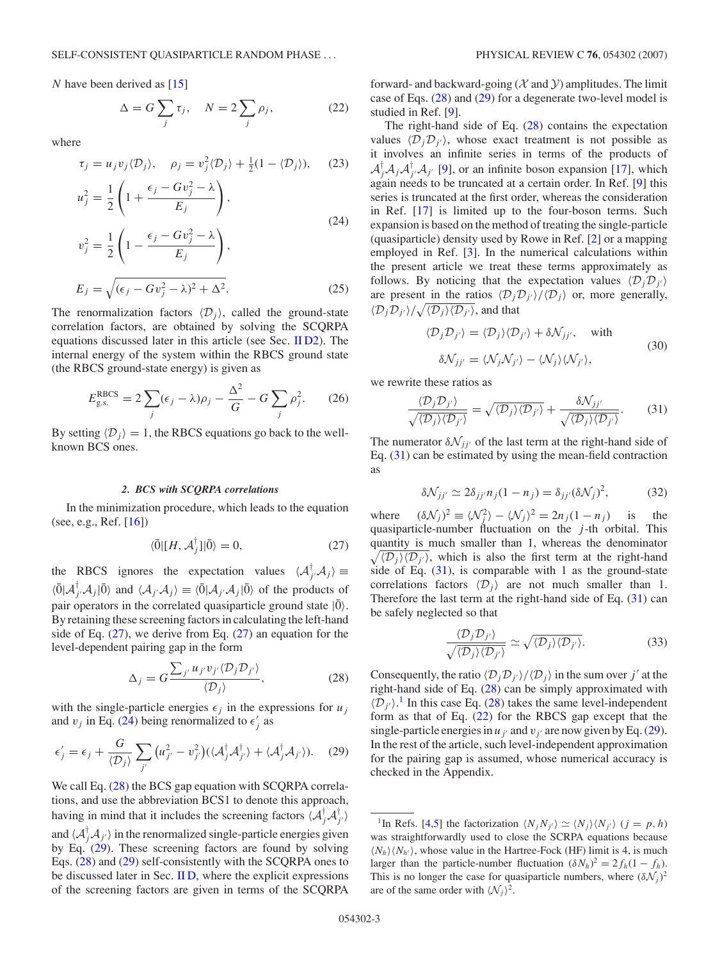<span id="page-2-0"></span>*N* have been derived as [\[15\]](#page-11-0)

$$
\Delta = G \sum_{j} \tau_{j}, \quad N = 2 \sum_{j} \rho_{j}, \tag{22}
$$

where

$$
\tau_j = u_j v_j \langle \mathcal{D}_j \rangle, \quad \rho_j = v_j^2 \langle \mathcal{D}_j \rangle + \frac{1}{2} (1 - \langle \mathcal{D}_j \rangle), \quad (23)
$$

$$
u_j^2 = \frac{1}{2} \left( 1 + \frac{\epsilon_j - Gv_j^2 - \lambda}{E_j} \right),
$$
  
\n
$$
v_j^2 = \frac{1}{2} \left( 1 - \frac{\epsilon_j - Gv_j^2 - \lambda}{E_j} \right),
$$
  
\n
$$
E_j = \sqrt{(\epsilon_j - Gv_j^2 - \lambda)^2 + \Delta^2}.
$$
\n(25)

The renormalization factors  $\langle \mathcal{D}_i \rangle$ , called the ground-state correlation factors, are obtained by solving the SCQRPA equations discussed later in this article (see Sec. [II D2\)](#page-3-0). The internal energy of the system within the RBCS ground state (the RBCS ground-state energy) is given as

$$
E_{\text{g.s.}}^{\text{RBCS}} = 2\sum_{j} (\epsilon_j - \lambda)\rho_j - \frac{\Delta^2}{G} - G\sum_{j} \rho_j^2. \qquad (26)
$$

By setting  $\langle D_j \rangle = 1$ , the RBCS equations go back to the wellknown BCS ones.

### *2. BCS with SCQRPA correlations*

In the minimization procedure, which leads to the equation (see, e.g., Ref. [\[16\]](#page-11-0))

$$
\langle \bar{0} | [H, \mathcal{A}_j^{\dagger}] | \bar{0} \rangle = 0, \tag{27}
$$

the RBCS ignores the expectation values  $\langle A_j^{\dagger}, A_j \rangle \equiv$  $\langle \overline{0} | A_{j'}^{\dagger} A_j | \overline{0} \rangle$  and  $\langle A_{j'} A_j \rangle \equiv \langle \overline{0} | A_{j'} A_j | \overline{0} \rangle$  of the products of pair operators in the correlated quasiparticle ground state  $|\bar{0}\rangle$ . By retaining these screening factors in calculating the left-hand side of Eq.  $(27)$ , we derive from Eq.  $(27)$  an equation for the level-dependent pairing gap in the form

$$
\Delta_j = G \frac{\sum_{j'} u_{j'} v_{j'} \langle \mathcal{D}_j \mathcal{D}_{j'} \rangle}{\langle \mathcal{D}_j \rangle},\tag{28}
$$

with the single-particle energies  $\epsilon_j$  in the expressions for  $u_j$ and  $v_j$  in Eq. (24) being renormalized to  $\epsilon'_j$  as

$$
\epsilon'_{j} = \epsilon_{j} + \frac{G}{\langle \mathcal{D}_{j} \rangle} \sum_{j'} \left( u_{j'}^{2} - v_{j'}^{2} \right) \left( \langle \mathcal{A}_{j}^{\dagger} \mathcal{A}_{j'}^{\dagger} \rangle + \langle \mathcal{A}_{j}^{\dagger} \mathcal{A}_{j'} \rangle \right). \tag{29}
$$

We call Eq.  $(28)$  the BCS gap equation with SCQRPA correlations, and use the abbreviation BCS1 to denote this approach, having in mind that it includes the screening factors  $\langle A_j^{\dagger} A_{j'}^{\dagger} \rangle$ and  $\langle A_J^{\dagger} A_{J'} \rangle$  in the renormalized single-particle energies given by Eq. (29). These screening factors are found by solving Eqs. (28) and (29) self-consistently with the SCQRPA ones to be discussed later in Sec. IID, where the explicit expressions of the screening factors are given in terms of the SCQRPA forward- and backward-going ( $\mathcal X$  and  $\mathcal Y$ ) amplitudes. The limit case of Eqs. (28) and (29) for a degenerate two-level model is studied in Ref. [\[9\]](#page-11-0).

The right-hand side of Eq.  $(28)$  contains the expectation values  $\langle D_j D_{j'} \rangle$ , whose exact treatment is not possible as it involves an infinite series in terms of the products of  $A_j^{\dagger}A_jA_{j'}^{\dagger}A_{j'}$  [\[9\]](#page-11-0), or an infinite boson expansion [\[17\]](#page-11-0), which again needs to be truncated at a certain order. In Ref. [\[9\]](#page-11-0) this series is truncated at the first order, whereas the consideration in Ref. [\[17\]](#page-11-0) is limited up to the four-boson terms. Such expansion is based on the method of treating the single-particle (quasiparticle) density used by Rowe in Ref. [\[2\]](#page-11-0) or a mapping employed in Ref. [\[3\]](#page-11-0). In the numerical calculations within the present article we treat these terms approximately as follows. By noticing that the expectation values  $\langle D_j D_{j'} \rangle$ are present in the ratios  $\langle D_j D_{j'} \rangle / \langle D_j \rangle$  or, more generally,  $\langle \mathcal{D}_j \mathcal{D}_{j'} \rangle / \sqrt{\langle \mathcal{D}_j \rangle \langle \mathcal{D}_{j'} \rangle}$ , and that

$$
\langle \mathcal{D}_j \mathcal{D}_{j'} \rangle = \langle \mathcal{D}_j \rangle \langle \mathcal{D}_{j'} \rangle + \delta \mathcal{N}_{jj'}, \text{ with}
$$
  

$$
\delta \mathcal{N}_{jj'} = \langle \mathcal{N}_j \mathcal{N}_{j'} \rangle - \langle \mathcal{N}_j \rangle \langle \mathcal{N}_{j'} \rangle, \tag{30}
$$

we rewrite these ratios as

$$
\frac{\langle \mathcal{D}_j \mathcal{D}_{j'} \rangle}{\sqrt{\langle \mathcal{D}_j \rangle \langle \mathcal{D}_{j'} \rangle}} = \sqrt{\langle \mathcal{D}_j \rangle \langle \mathcal{D}_{j'} \rangle} + \frac{\delta \mathcal{N}_{jj'}}{\sqrt{\langle \mathcal{D}_j \rangle \langle \mathcal{D}_{j'} \rangle}}.
$$
(31)

The numerator  $\delta \mathcal{N}_{jj'}$  of the last term at the right-hand side of Eq. (31) can be estimated by using the mean-field contraction as

$$
\delta \mathcal{N}_{jj'} \simeq 2\delta_{jj'} n_j (1 - n_j) = \delta_{jj'} (\delta \mathcal{N}_j)^2, \tag{32}
$$

where  $(\delta \mathcal{N}_j)^2 \equiv \langle \mathcal{N}_j^2 \rangle - \langle \mathcal{N}_j \rangle^2 = 2n_j(1 - n_j)$  is the quasiparticle-number fluctuation on the *j* -th orbital. This quantity is much smaller than 1, whereas the denominator  $\sqrt{\langle D_j \rangle \langle D_{j'} \rangle}$ , which is also the first term at the right-hand side of Eq.  $(31)$ , is comparable with 1 as the ground-state correlations factors  $\langle D_i \rangle$  are not much smaller than 1. Therefore the last term at the right-hand side of Eq. (31) can be safely neglected so that

$$
\frac{\langle \mathcal{D}_j \mathcal{D}_{j'} \rangle}{\sqrt{\langle \mathcal{D}_j \rangle \langle \mathcal{D}_{j'} \rangle}} \simeq \sqrt{\langle \mathcal{D}_j \rangle \langle \mathcal{D}_{j'} \rangle}.
$$
 (33)

Consequently, the ratio  $\langle D_j D_{j'} \rangle / \langle D_j \rangle$  in the sum over *j'* at the right-hand side of Eq. (28) can be simply approximated with  $\langle \mathcal{D}_{j'} \rangle$ .<sup>1</sup> In this case Eq. (28) takes the same level-independent form as that of Eq. (22) for the RBCS gap except that the single-particle energies in  $u_{j'}$  and  $v_{j'}$  are now given by Eq. (29). In the rest of the article, such level-independent approximation for the pairing gap is assumed, whose numerical accuracy is checked in the Appendix.

<sup>&</sup>lt;sup>1</sup>In Refs. [\[4,5\]](#page-11-0) the factorization  $\langle N_j N_{j'} \rangle \simeq \langle N_j \rangle \langle N_{j'} \rangle$  ( $j = p, h$ ) was straightforwardly used to close the SCRPA equations because  $\langle N_h \rangle \langle N_{h'} \rangle$ , whose value in the Hartree-Fock (HF) limit is 4, is much larger than the particle-number fluctuation  $(\delta N_h)^2 = 2f_h(1 - f_h)$ . This is no longer the case for quasiparticle numbers, where  $(\delta \mathcal{N}_j)^2$ are of the same order with  $\langle \mathcal{N}_i \rangle^2$ .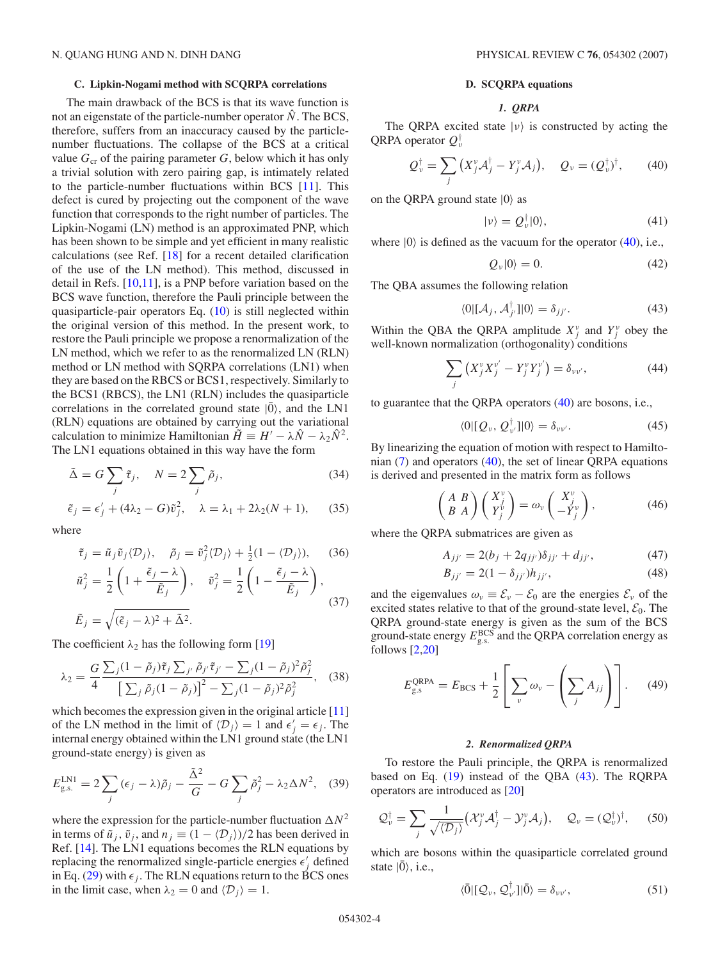#### <span id="page-3-0"></span>**C. Lipkin-Nogami method with SCQRPA correlations**

The main drawback of the BCS is that its wave function is not an eigenstate of the particle-number operator  $\hat{N}$ . The BCS, therefore, suffers from an inaccuracy caused by the particlenumber fluctuations. The collapse of the BCS at a critical value  $G_{cr}$  of the pairing parameter  $G$ , below which it has only a trivial solution with zero pairing gap, is intimately related to the particle-number fluctuations within BCS [\[11\]](#page-11-0). This defect is cured by projecting out the component of the wave function that corresponds to the right number of particles. The Lipkin-Nogami (LN) method is an approximated PNP, which has been shown to be simple and yet efficient in many realistic calculations (see Ref. [\[18\]](#page-11-0) for a recent detailed clarification of the use of the LN method). This method, discussed in detail in Refs. [\[10,11\]](#page-11-0), is a PNP before variation based on the BCS wave function, therefore the Pauli principle between the quasiparticle-pair operators Eq. [\(10\)](#page-1-0) is still neglected within the original version of this method. In the present work, to restore the Pauli principle we propose a renormalization of the LN method, which we refer to as the renormalized LN (RLN) method or LN method with SQRPA correlations (LN1) when they are based on the RBCS or BCS1, respectively. Similarly to the BCS1 (RBCS), the LN1 (RLN) includes the quasiparticle correlations in the correlated ground state  $|0\rangle$ , and the LN1 (RLN) equations are obtained by carrying out the variational calculation to minimize Hamiltonian  $\tilde{H} \equiv H' - \lambda \hat{N} - \lambda_2 \hat{N}^2$ . The LN1 equations obtained in this way have the form

$$
\tilde{\Delta} = G \sum_{j} \tilde{\tau}_{j}, \quad N = 2 \sum_{j} \tilde{\rho}_{j}, \tag{34}
$$

$$
\tilde{\epsilon}_j = \epsilon'_j + (4\lambda_2 - G)\tilde{v}_j^2, \quad \lambda = \lambda_1 + 2\lambda_2(N+1), \quad (35)
$$

where

$$
\tilde{\tau}_j = \tilde{u}_j \tilde{v}_j \langle \mathcal{D}_j \rangle, \quad \tilde{\rho}_j = \tilde{v}_j^2 \langle \mathcal{D}_j \rangle + \frac{1}{2} (1 - \langle \mathcal{D}_j \rangle), \quad (36)
$$

$$
\tilde{u}_j^2 = \frac{1}{2} \left( 1 + \frac{\tilde{\epsilon}_j - \lambda}{\tilde{E}_j} \right), \quad \tilde{v}_j^2 = \frac{1}{2} \left( 1 - \frac{\tilde{\epsilon}_j - \lambda}{\tilde{E}_j} \right),
$$
  

$$
\tilde{E}_j = \sqrt{(\tilde{\epsilon}_j - \lambda)^2 + \tilde{\Delta}^2}.
$$
 (37)

The coefficient  $\lambda_2$  has the following form [\[19\]](#page-11-0)

$$
\lambda_2 = \frac{G \sum_j (1 - \tilde{\rho}_j) \tilde{\tau}_j \sum_{j'} \tilde{\rho}_{j'} \tilde{\tau}_{j'} - \sum_j (1 - \tilde{\rho}_j)^2 \tilde{\rho}_j^2}{\left[\sum_j \tilde{\rho}_j (1 - \tilde{\rho}_j)\right]^2 - \sum_j (1 - \tilde{\rho}_j)^2 \tilde{\rho}_j^2}, \quad (38)
$$

which becomes the expression given in the original article [\[11\]](#page-11-0) of the LN method in the limit of  $\langle D_j \rangle = 1$  and  $\epsilon'_j = \epsilon_j$ . The internal energy obtained within the LN1 ground state (the LN1 ground-state energy) is given as

$$
E_{\rm g.s.}^{\rm LNI} = 2\sum_{j} (\epsilon_j - \lambda)\tilde{\rho}_j - \frac{\tilde{\Delta}^2}{G} - G \sum_{j} \tilde{\rho}_j^2 - \lambda_2 \Delta N^2, \quad (39)
$$

where the expression for the particle-number fluctuation  $\Delta N^2$ in terms of  $\tilde{u}_i$ ,  $\tilde{v}_i$ , and  $n_i \equiv (1 - \langle \mathcal{D}_i \rangle)/2$  has been derived in Ref. [\[14\]](#page-11-0). The LN1 equations becomes the RLN equations by replacing the renormalized single-particle energies  $\epsilon'_j$  defined in Eq. [\(29\)](#page-2-0) with  $\epsilon_j$ . The RLN equations return to the BCS ones in the limit case, when  $\lambda_2 = 0$  and  $\langle \mathcal{D}_i \rangle = 1$ .

#### **D. SCQRPA equations**

### *1. QRPA*

The QRPA excited state  $|v\rangle$  is constructed by acting the QRPA operator *Q*† *ν*

$$
Q_{\nu}^{\dagger} = \sum_{j} \left( X_{j}^{\nu} \mathcal{A}_{j}^{\dagger} - Y_{j}^{\nu} \mathcal{A}_{j} \right), \quad Q_{\nu} = (Q_{\nu}^{\dagger})^{\dagger}, \tag{40}
$$

on the QRPA ground state  $|0\rangle$  as

$$
|\nu\rangle = Q_{\nu}^{\dagger}|0\rangle,\tag{41}
$$

where  $|0\rangle$  is defined as the vacuum for the operator (40), i.e.,

$$
Q_{\nu}|0\rangle = 0.\tag{42}
$$

The QBA assumes the following relation

$$
\langle 0 | [\mathcal{A}_j, \mathcal{A}_{j'}^\dagger] | 0 \rangle = \delta_{jj'}.
$$
 (43)

Within the QBA the QRPA amplitude  $X_j^{\nu}$  and  $Y_j^{\nu}$  obey the well-known normalization (orthogonality) conditions

$$
\sum_{j} \left( X_j^{\nu} X_j^{\nu'} - Y_j^{\nu} Y_j^{\nu'} \right) = \delta_{\nu \nu'}, \tag{44}
$$

to guarantee that the QRPA operators (40) are bosons, i.e.,

$$
\langle 0 | [Q_{\nu}, Q_{\nu'}^{\dagger}] | 0 \rangle = \delta_{\nu \nu'}.
$$
 (45)

By linearizing the equation of motion with respect to Hamiltonian [\(7\)](#page-1-0) and operators (40), the set of linear QRPA equations is derived and presented in the matrix form as follows

$$
\begin{pmatrix} A & B \\ B & A \end{pmatrix} \begin{pmatrix} X_j^{\nu} \\ Y_j^{\nu} \end{pmatrix} = \omega_{\nu} \begin{pmatrix} X_j^{\nu} \\ -Y_j^{\nu} \end{pmatrix}, \tag{46}
$$

where the QRPA submatrices are given as

$$
A_{jj'} = 2(b_j + 2q_{jj'})\delta_{jj'} + d_{jj'},
$$
 (47)

$$
B_{jj'} = 2(1 - \delta_{jj'})h_{jj'},
$$
\n(48)

and the eigenvalues  $\omega_v \equiv \mathcal{E}_v - \mathcal{E}_0$  are the energies  $\mathcal{E}_v$  of the excited states relative to that of the ground-state level,  $\mathcal{E}_0$ . The QRPA ground-state energy is given as the sum of the BCS ground-state energy  $E_{\text{g.s.}}^{\text{BCS}}$  and the QRPA correlation energy as follows  $[2,20]$ 

$$
E_{\rm g.s}^{\rm QRPA} = E_{\rm BCS} + \frac{1}{2} \left[ \sum_{\nu} \omega_{\nu} - \left( \sum_{j} A_{jj} \right) \right]. \tag{49}
$$

### *2. Renormalized QRPA*

To restore the Pauli principle, the QRPA is renormalized based on Eq. [\(19\)](#page-1-0) instead of the QBA (43). The RQRPA operators are introduced as [\[20\]](#page-11-0)

$$
\mathcal{Q}_{\nu}^{\dagger} = \sum_{j} \frac{1}{\sqrt{\langle \mathcal{D}_{j} \rangle}} \big( \mathcal{X}_{j}^{\nu} \mathcal{A}_{j}^{\dagger} - \mathcal{Y}_{j}^{\nu} \mathcal{A}_{j} \big), \quad \mathcal{Q}_{\nu} = (\mathcal{Q}_{\nu}^{\dagger})^{\dagger}, \quad (50)
$$

which are bosons within the quasiparticle correlated ground state  $|0\rangle$ , i.e.,

$$
\langle \bar{0} | [\mathcal{Q}_{\nu}, \mathcal{Q}_{\nu'}^{\dagger}] | \bar{0} \rangle = \delta_{\nu \nu'}, \tag{51}
$$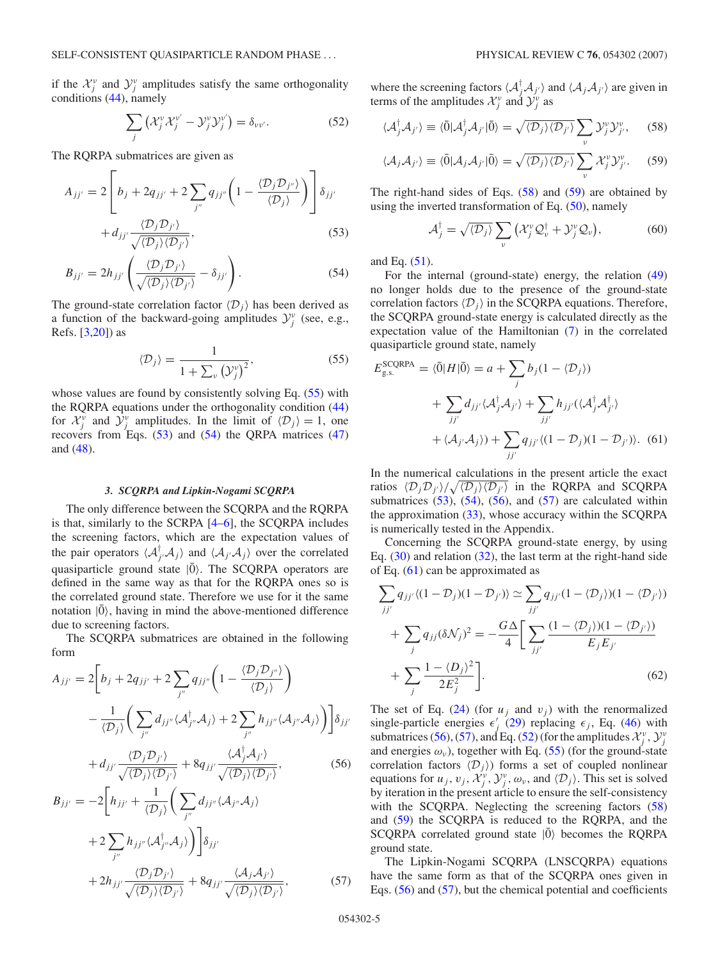if the  $\mathcal{X}^{\nu}_{j}$  and  $\mathcal{Y}^{\nu}_{j}$  amplitudes satisfy the same orthogonality conditions [\(44\)](#page-3-0), namely

$$
\sum_{j} \left( \mathcal{X}_{j}^{\nu} \mathcal{X}_{j}^{\nu'} - \mathcal{Y}_{j}^{\nu} \mathcal{Y}_{j}^{\nu'} \right) = \delta_{\nu \nu'}.
$$
 (52)

The RQRPA submatrices are given as

$$
A_{jj'} = 2 \left[ b_j + 2q_{jj'} + 2 \sum_{j''} q_{jj''} \left( 1 - \frac{\langle \mathcal{D}_j \mathcal{D}_{j''} \rangle}{\langle \mathcal{D}_j \rangle} \right) \right] \delta_{jj'}
$$

$$
+ d_{jj'} \frac{\langle \mathcal{D}_j \mathcal{D}_{j'} \rangle}{\sqrt{\langle \mathcal{D}_j \rangle \langle \mathcal{D}_{j'} \rangle}}, \tag{53}
$$

$$
B_{jj'} = 2h_{jj'} \left( \frac{\langle \mathcal{D}_j \mathcal{D}_{j'} \rangle}{\sqrt{\langle \mathcal{D}_j \rangle \langle \mathcal{D}_{j'} \rangle}} - \delta_{jj'} \right). \tag{54}
$$

The ground-state correlation factor  $\langle \mathcal{D}_i \rangle$  has been derived as a function of the backward-going amplitudes  $\mathcal{Y}^{\nu}_{j}$  (see, e.g., Refs. [\[3,20\]](#page-11-0)) as

$$
\langle \mathcal{D}_j \rangle = \frac{1}{1 + \sum_{\nu} \left( \mathcal{Y}_j^{\nu} \right)^2},\tag{55}
$$

whose values are found by consistently solving Eq. (55) with the RQRPA equations under the orthogonality condition [\(44\)](#page-3-0) for  $\mathcal{X}_j^{\nu}$  and  $\mathcal{Y}_j^{\nu}$  amplitudes. In the limit of  $\langle \mathcal{D}_j \rangle = 1$ , one recovers from Eqs. (53) and (54) the QRPA matrices [\(47\)](#page-3-0) and [\(48\)](#page-3-0).

#### *3. SCQRPA and Lipkin-Nogami SCQRPA*

The only difference between the SCQRPA and the RQRPA is that, similarly to the SCRPA [\[4–6\]](#page-11-0), the SCQRPA includes the screening factors, which are the expectation values of the pair operators  $\langle A_{j'}^{\dagger} A_j \rangle$  and  $\langle A_{j'} A_j \rangle$  over the correlated quasiparticle ground state  $|\bar{0}\rangle$ . The SCQRPA operators are defined in the same way as that for the RQRPA ones so is the correlated ground state. Therefore we use for it the same notation  $|0\rangle$ , having in mind the above-mentioned difference due to screening factors.

The SCQRPA submatrices are obtained in the following form

$$
A_{jj'} = 2\bigg[b_j + 2q_{jj'} + 2\sum_{j''} q_{jj''}\bigg(1 - \frac{\langle \mathcal{D}_j \mathcal{D}_{j''} \rangle}{\langle \mathcal{D}_j \rangle}\bigg) - \frac{1}{\langle \mathcal{D}_j \rangle} \bigg(\sum_{j''} d_{jj''} \langle \mathcal{A}_{j''}^{\dagger} \mathcal{A}_j \rangle + 2\sum_{j''} h_{jj''} \langle \mathcal{A}_{j''} \mathcal{A}_j \rangle \bigg)\bigg]\delta_{jj'} + d_{jj'} \frac{\langle \mathcal{D}_j \mathcal{D}_{j'} \rangle}{\sqrt{\langle \mathcal{D}_j \rangle \langle \mathcal{D}_{j'} \rangle}} + 8q_{jj'} \frac{\langle \mathcal{A}_j^{\dagger} \mathcal{A}_{j'} \rangle}{\sqrt{\langle \mathcal{D}_j \rangle \langle \mathcal{D}_{j'} \rangle}},
$$
(56)

$$
B_{jj'} = -2\bigg[h_{jj'} + \frac{1}{\langle \mathcal{D}_j \rangle} \bigg(\sum_{j''} d_{jj''} \langle \mathcal{A}_{j''} \mathcal{A}_j \rangle
$$
  
+2 $\sum_{j''} h_{jj''} \langle \mathcal{A}_{j''}^{\dagger} \mathcal{A}_j \rangle \bigg)\bigg]\delta_{jj'}$   
+2 $h_{jj'} \frac{\langle \mathcal{D}_j \mathcal{D}_{j'} \rangle}{\sqrt{\langle \mathcal{D}_j \rangle \langle \mathcal{D}_{j'} \rangle}} + 8q_{jj'} \frac{\langle \mathcal{A}_j \mathcal{A}_{j'} \rangle}{\sqrt{\langle \mathcal{D}_j \rangle \langle \mathcal{D}_{j'} \rangle}},$  (57)

where the screening factors  $\langle A_j^{\dagger} A_{j'} \rangle$  and  $\langle A_j A_{j'} \rangle$  are given in terms of the amplitudes  $\mathcal{X}^{\nu}_{j}$  and  $\mathcal{Y}^{\nu}_{j}$  as

$$
\langle \mathcal{A}_j^{\dagger} \mathcal{A}_{j'} \rangle \equiv \langle \bar{0} | \mathcal{A}_j^{\dagger} \mathcal{A}_{j'} | \bar{0} \rangle = \sqrt{\langle \mathcal{D}_j \rangle \langle \mathcal{D}_{j'} \rangle} \sum_{\nu} \mathcal{Y}_{j}^{\nu} \mathcal{Y}_{j'}^{\nu}, \qquad (58)
$$

$$
\langle \mathcal{A}_j \mathcal{A}_{j'} \rangle \equiv \langle \bar{0} | \mathcal{A}_j \mathcal{A}_{j'} | \bar{0} \rangle = \sqrt{\langle \mathcal{D}_j \rangle \langle \mathcal{D}_{j'} \rangle} \sum_{\nu} \mathcal{X}_{j}^{\nu} \mathcal{Y}_{j'}^{\nu}.
$$
 (59)

The right-hand sides of Eqs.  $(58)$  and  $(59)$  are obtained by using the inverted transformation of Eq. [\(50\)](#page-3-0), namely

$$
\mathcal{A}_j^\dagger = \sqrt{\langle \mathcal{D}_j \rangle} \sum_{\nu} \left( \mathcal{X}_j^{\nu} \mathcal{Q}_{\nu}^\dagger + \mathcal{Y}_j^{\nu} \mathcal{Q}_{\nu} \right), \tag{60}
$$

and Eq. [\(51\)](#page-3-0).

For the internal (ground-state) energy, the relation [\(49\)](#page-3-0) no longer holds due to the presence of the ground-state correlation factors  $\langle \mathcal{D}_i \rangle$  in the SCQRPA equations. Therefore, the SCQRPA ground-state energy is calculated directly as the expectation value of the Hamiltonian [\(7\)](#page-1-0) in the correlated quasiparticle ground state, namely

$$
E_{\text{g.s.}}^{\text{SCQRPA}} = \langle \bar{0} | H | \bar{0} \rangle = a + \sum_{j} b_{j} (1 - \langle \mathcal{D}_{j} \rangle)
$$
  
+ 
$$
\sum_{jj'} d_{jj'} \langle \mathcal{A}_{j}^{\dagger} \mathcal{A}_{j'} \rangle + \sum_{jj'} h_{jj'} (\langle \mathcal{A}_{j}^{\dagger} \mathcal{A}_{j'}^{\dagger} \rangle
$$
  
+ 
$$
\langle \mathcal{A}_{j'} \mathcal{A}_{j} \rangle
$$
) + 
$$
\sum_{jj'} q_{jj'} \langle (1 - \mathcal{D}_{j})(1 - \mathcal{D}_{j'}) \rangle.
$$
 (61)

In the numerical calculations in the present article the exact ratios  $\langle D_j D_{j'} \rangle / \sqrt{\langle D_j \rangle \langle D_{j'} \rangle}$  in the RQRPA and SCQRPA submatrices  $(53)$ ,  $(54)$ ,  $(56)$ , and  $(57)$  are calculated within the approximation [\(33\)](#page-2-0), whose accuracy within the SCQRPA is numerically tested in the Appendix.

Concerning the SCQRPA ground-state energy, by using Eq.  $(30)$  and relation  $(32)$ , the last term at the right-hand side of Eq. (61) can be approximated as

$$
\sum_{jj'} q_{jj'} \langle (1 - \mathcal{D}_j)(1 - \mathcal{D}_{j'}) \rangle \simeq \sum_{jj'} q_{jj'} (1 - \langle \mathcal{D}_j \rangle)(1 - \langle \mathcal{D}_{j'} \rangle)
$$
  
+ 
$$
\sum_j q_{jj} (\delta \mathcal{N}_j)^2 = -\frac{G\Delta}{4} \Bigg[ \sum_{jj'} \frac{(1 - \langle \mathcal{D}_j \rangle)(1 - \langle \mathcal{D}_{j'} \rangle)}{E_j E_{j'}}
$$
  
+ 
$$
\sum_j \frac{1 - \langle \mathcal{D}_j \rangle^2}{2E_j^2} \Bigg].
$$
 (62)

The set of Eq.  $(24)$  (for  $u_i$  and  $v_i$ ) with the renormalized single-particle energies  $\epsilon'_j$  [\(29\)](#page-2-0) replacing  $\epsilon_j$ , Eq. [\(46\)](#page-3-0) with submatrices (56), (57), and Eq. (52) (for the amplitudes  $\mathcal{X}^{\nu}_{j}$ ,  $\mathcal{Y}^{\nu}_{j}$ and energies  $\omega_{\nu}$ ), together with Eq. (55) (for the ground-state correlation factors  $\langle D_j \rangle$  forms a set of coupled nonlinear equations for  $u_j$ ,  $v_j$ ,  $\mathcal{X}_j^{\nu}$ ,  $\mathcal{Y}_j^{\nu}$ ,  $\omega_{\nu}$ , and  $\langle \mathcal{D}_j \rangle$ . This set is solved by iteration in the present article to ensure the self-consistency with the SCQRPA. Neglecting the screening factors (58) and (59) the SCQRPA is reduced to the RQRPA, and the SCQRPA correlated ground state  $|0\rangle$  becomes the RQRPA ground state.

The Lipkin-Nogami SCQRPA (LNSCQRPA) equations have the same form as that of the SCQRPA ones given in Eqs. (56) and (57), but the chemical potential and coefficients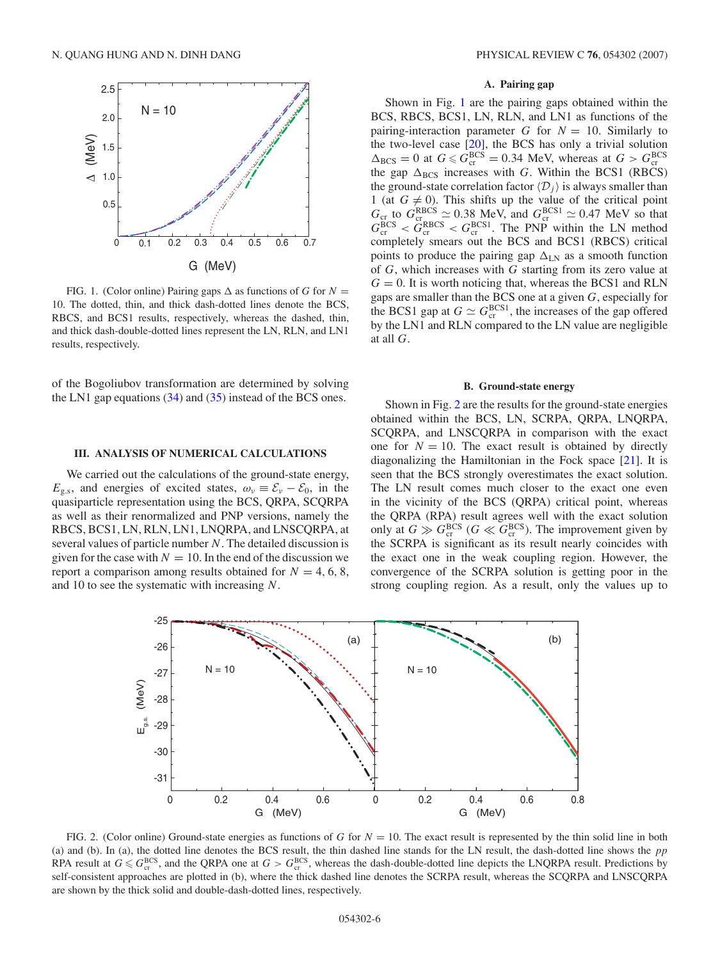<span id="page-5-0"></span>

FIG. 1. (Color online) Pairing gaps  $\Delta$  as functions of *G* for *N* = 10. The dotted, thin, and thick dash-dotted lines denote the BCS, RBCS, and BCS1 results, respectively, whereas the dashed, thin, and thick dash-double-dotted lines represent the LN, RLN, and LN1 results, respectively.

of the Bogoliubov transformation are determined by solving the LN1 gap equations [\(34\)](#page-3-0) and [\(35\)](#page-3-0) instead of the BCS ones.

#### **III. ANALYSIS OF NUMERICAL CALCULATIONS**

We carried out the calculations of the ground-state energy,  $E_{\rm g,s}$ , and energies of excited states,  $\omega_{\nu} \equiv \mathcal{E}_{\nu} - \mathcal{E}_0$ , in the quasiparticle representation using the BCS, QRPA, SCQRPA as well as their renormalized and PNP versions, namely the RBCS, BCS1, LN, RLN, LN1, LNQRPA, and LNSCQRPA, at several values of particle number *N*. The detailed discussion is given for the case with  $N = 10$ . In the end of the discussion we report a comparison among results obtained for  $N = 4, 6, 8$ , and 10 to see the systematic with increasing *N*.

### **A. Pairing gap**

Shown in Fig. 1 are the pairing gaps obtained within the BCS, RBCS, BCS1, LN, RLN, and LN1 as functions of the pairing-interaction parameter *G* for  $N = 10$ . Similarly to the two-level case [\[20\]](#page-11-0), the BCS has only a trivial solution  $\Delta_{\rm BCS} = 0$  at  $G \leq G_{\rm cr}^{\rm BCS} = 0.34$  MeV, whereas at  $G > G_{\rm cr}^{\rm BCS}$ the gap  $\Delta_{BCS}$  increases with *G*. Within the BCS1 (RBCS) the ground-state correlation factor  $\langle D_j \rangle$  is always smaller than 1 (at  $G \neq 0$ ). This shifts up the value of the critical point  $G_{cr}$  to  $G_{cr}^{RBCS} \simeq 0.38$  MeV, and  $G_{cr}^{BCS1} \simeq 0.47$  MeV so that  $G_{\text{cr}}^{\text{BCS}} < G_{\text{cr}}^{\text{RBCS}} < G_{\text{cr}}^{\text{BCS1}}$ . The PNP within the LN method completely smears out the BCS and BCS1 (RBCS) critical points to produce the pairing gap  $\Delta_{LN}$  as a smooth function of *G*, which increases with *G* starting from its zero value at  $G = 0$ . It is worth noticing that, whereas the BCS1 and RLN gaps are smaller than the BCS one at a given *G*, especially for the BCS1 gap at  $G \simeq G_{\text{cr}}^{\text{BCS1}}$ , the increases of the gap offered by the LN1 and RLN compared to the LN value are negligible at all *G*.

### **B. Ground-state energy**

Shown in Fig. 2 are the results for the ground-state energies obtained within the BCS, LN, SCRPA, QRPA, LNQRPA, SCQRPA, and LNSCQRPA in comparison with the exact one for  $N = 10$ . The exact result is obtained by directly diagonalizing the Hamiltonian in the Fock space [\[21\]](#page-11-0). It is seen that the BCS strongly overestimates the exact solution. The LN result comes much closer to the exact one even in the vicinity of the BCS (QRPA) critical point, whereas the QRPA (RPA) result agrees well with the exact solution only at  $G \gg G_{\text{cr}}^{\text{BCS}}$  ( $G \ll G_{\text{cr}}^{\text{BCS}}$ ). The improvement given by the SCRPA is significant as its result nearly coincides with the exact one in the weak coupling region. However, the convergence of the SCRPA solution is getting poor in the strong coupling region. As a result, only the values up to



FIG. 2. (Color online) Ground-state energies as functions of *G* for *N* = 10. The exact result is represented by the thin solid line in both (a) and (b). In (a), the dotted line denotes the BCS result, the thin dashed line stands for the LN result, the dash-dotted line shows the *pp* RPA result at  $G \leq G_{cr}^{BCS}$ , and the QRPA one at  $G > G_{cr}^{BCS}$ , whereas the dash-double-dotted line depicts the LNQRPA result. Predictions by self-consistent approaches are plotted in (b), where the thick dashed line denotes the SCRPA result, whereas the SCQRPA and LNSCQRPA are shown by the thick solid and double-dash-dotted lines, respectively.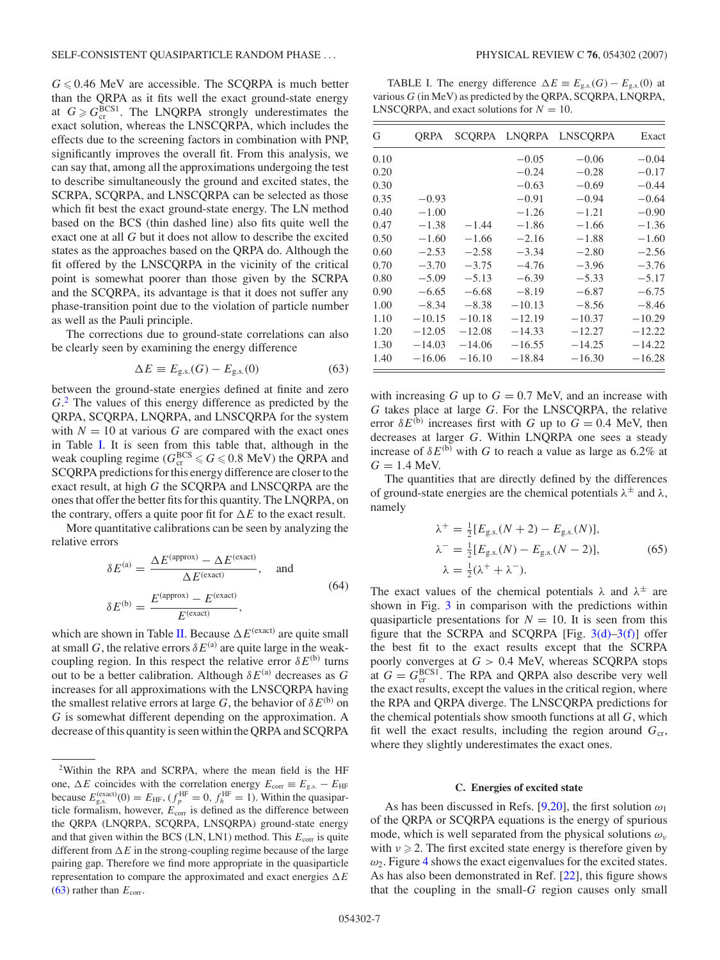<span id="page-6-0"></span> $G \le 0.46$  MeV are accessible. The SCQRPA is much better than the QRPA as it fits well the exact ground-state energy at  $G \geqslant G_{\text{cr}}^{\text{BCS1}}$ . The LNQRPA strongly underestimates the exact solution, whereas the LNSCQRPA, which includes the effects due to the screening factors in combination with PNP, significantly improves the overall fit. From this analysis, we can say that, among all the approximations undergoing the test to describe simultaneously the ground and excited states, the SCRPA, SCQRPA, and LNSCQRPA can be selected as those which fit best the exact ground-state energy. The LN method based on the BCS (thin dashed line) also fits quite well the exact one at all *G* but it does not allow to describe the excited states as the approaches based on the QRPA do. Although the fit offered by the LNSCQRPA in the vicinity of the critical point is somewhat poorer than those given by the SCRPA and the SCQRPA, its advantage is that it does not suffer any phase-transition point due to the violation of particle number as well as the Pauli principle.

The corrections due to ground-state correlations can also be clearly seen by examining the energy difference

$$
\Delta E \equiv E_{\rm g.s.}(G) - E_{\rm g.s.}(0) \tag{63}
$$

between the ground-state energies defined at finite and zero *G*. <sup>2</sup> The values of this energy difference as predicted by the QRPA, SCQRPA, LNQRPA, and LNSCQRPA for the system with  $N = 10$  at various G are compared with the exact ones in Table I. It is seen from this table that, although in the weak coupling regime ( $G_{\text{cr}}^{\text{BCS}} \le G \le 0.8 \text{ MeV}$ ) the QRPA and SCQRPA predictions for this energy difference are closer to the exact result, at high *G* the SCQRPA and LNSCQRPA are the ones that offer the better fits for this quantity. The LNQRPA, on the contrary, offers a quite poor fit for  $\Delta E$  to the exact result.

More quantitative calibrations can be seen by analyzing the relative errors

$$
\delta E^{(a)} = \frac{\Delta E^{(approx)} - \Delta E^{(exact)}}{\Delta E^{(exact)}}, \text{ and}
$$

$$
\delta E^{(b)} = \frac{E^{(approx)} - E^{(exact)}}{E^{(exact)}}, \tag{64}
$$

which are shown in Table [II.](#page-7-0) Because  $\Delta E^{(exact)}$  are quite small at small *G*, the relative errors  $\delta E^{(a)}$  are quite large in the weakcoupling region. In this respect the relative error  $\delta E^{(b)}$  turns out to be a better calibration. Although  $\delta E^{(a)}$  decreases as *G* increases for all approximations with the LNSCQRPA having the smallest relative errors at large *G*, the behavior of  $\delta E^{(b)}$  on *G* is somewhat different depending on the approximation. A decrease of this quantity is seen within the QRPA and SCQRPA

TABLE I. The energy difference  $\Delta E \equiv E_{\text{g.s.}}(G) - E_{\text{g.s.}}(0)$  at various *G* (in MeV) as predicted by the QRPA, SCQRPA, LNQRPA, LNSCQRPA, and exact solutions for  $N = 10$ .

| G    | ORPA     | SCORPA   |          | LNQRPA LNSCQRPA | Exact    |
|------|----------|----------|----------|-----------------|----------|
| 0.10 |          |          | $-0.05$  | $-0.06$         | $-0.04$  |
| 0.20 |          |          | $-0.24$  | $-0.28$         | $-0.17$  |
| 0.30 |          |          | $-0.63$  | $-0.69$         | $-0.44$  |
| 0.35 | $-0.93$  |          | $-0.91$  | $-0.94$         | $-0.64$  |
| 0.40 | $-1.00$  |          | $-1.26$  | $-1.21$         | $-0.90$  |
| 0.47 | $-1.38$  | $-1.44$  | $-1.86$  | $-1.66$         | $-1.36$  |
| 0.50 | $-1.60$  | $-1.66$  | $-2.16$  | $-1.88$         | $-1.60$  |
| 0.60 | $-2.53$  | $-2.58$  | $-3.34$  | $-2.80$         | $-2.56$  |
| 0.70 | $-3.70$  | $-3.75$  | $-4.76$  | $-3.96$         | $-3.76$  |
| 0.80 | $-5.09$  | $-5.13$  | $-6.39$  | $-5.33$         | $-5.17$  |
| 0.90 | $-6.65$  | $-6.68$  | $-8.19$  | $-6.87$         | $-6.75$  |
| 1.00 | $-8.34$  | $-8.38$  | $-10.13$ | $-8.56$         | $-8.46$  |
| 1.10 | $-10.15$ | $-10.18$ | $-12.19$ | $-10.37$        | $-10.29$ |
| 1.20 | $-12.05$ | $-12.08$ | $-14.33$ | $-12.27$        | $-12.22$ |
| 1.30 | $-14.03$ | $-14.06$ | $-16.55$ | $-14.25$        | $-14.22$ |
| 1.40 | $-16.06$ | $-16.10$ | $-18.84$ | $-16.30$        | $-16.28$ |

with increasing  $G$  up to  $G = 0.7$  MeV, and an increase with *G* takes place at large *G*. For the LNSCQRPA, the relative error  $\delta E^{(b)}$  increases first with *G* up to  $G = 0.4$  MeV, then decreases at larger *G*. Within LNQRPA one sees a steady increase of  $\delta E^{(b)}$  with *G* to reach a value as large as 6.2% at  $G = 1.4$  MeV.

The quantities that are directly defined by the differences of ground-state energies are the chemical potentials *λ*<sup>±</sup> and *λ*, namely

$$
\lambda^{+} = \frac{1}{2} [E_{\text{g.s.}}(N+2) - E_{\text{g.s.}}(N)],
$$
  
\n
$$
\lambda^{-} = \frac{1}{2} [E_{\text{g.s.}}(N) - E_{\text{g.s.}}(N-2)],
$$
  
\n
$$
\lambda = \frac{1}{2} (\lambda^{+} + \lambda^{-}).
$$
\n(65)

The exact values of the chemical potentials  $\lambda$  and  $\lambda^{\pm}$  are shown in Fig. [3](#page-7-0) in comparison with the predictions within quasiparticle presentations for  $N = 10$ . It is seen from this figure that the SCRPA and SCQRPA [Fig.  $3(d)$ – $3(f)$ ] offer the best fit to the exact results except that the SCRPA poorly converges at *G >* 0.4 MeV, whereas SCQRPA stops at  $G = G_{cr}^{BCS1}$ . The RPA and QRPA also describe very well the exact results, except the values in the critical region, where the RPA and QRPA diverge. The LNSCQRPA predictions for the chemical potentials show smooth functions at all *G*, which fit well the exact results, including the region around  $G_{cr}$ , where they slightly underestimates the exact ones.

# **C. Energies of excited state**

As has been discussed in Refs. [\[9,20\]](#page-11-0), the first solution *ω*<sup>1</sup> of the QRPA or SCQRPA equations is the energy of spurious mode, which is well separated from the physical solutions *ων* with  $v \ge 2$ . The first excited state energy is therefore given by  $\omega_2$ . Figure [4](#page-7-0) shows the exact eigenvalues for the excited states. As has also been demonstrated in Ref. [\[22\]](#page-11-0), this figure shows that the coupling in the small-*G* region causes only small

<sup>&</sup>lt;sup>2</sup>Within the RPA and SCRPA, where the mean field is the HF one,  $\Delta E$  coincides with the correlation energy  $E_{\text{corr}} \equiv E_{\text{g.s.}} - E_{\text{HF}}$ because  $E_{\text{g.s.}}^{(\text{exact})}(0) = E_{\text{HF}}, (f_p^{\text{HF}} = 0, f_h^{\text{HF}} = 1)$ . Within the quasiparticle formalism, however, *E*corr is defined as the difference between the QRPA (LNQRPA, SCQRPA, LNSQRPA) ground-state energy and that given within the BCS (LN, LN1) method. This  $E_{\text{corr}}$  is quite different from  $\Delta E$  in the strong-coupling regime because of the large pairing gap. Therefore we find more appropriate in the quasiparticle representation to compare the approximated and exact energies  $\Delta E$  $(63)$  rather than  $E_{\text{corr}}$ .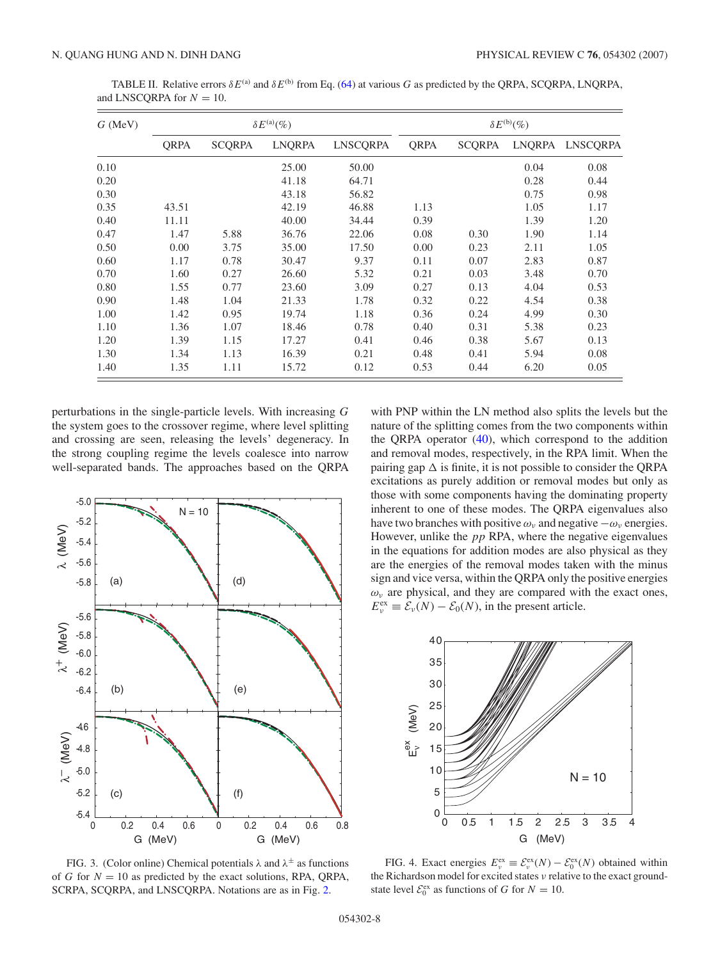| $G$ (MeV) | $\delta E^{(a)}(\%)$ |               |               |                 | $\delta E^{\rm (b)}(\%)$ |               |               |                 |
|-----------|----------------------|---------------|---------------|-----------------|--------------------------|---------------|---------------|-----------------|
|           | <b>ORPA</b>          | <b>SCORPA</b> | <b>LNQRPA</b> | <b>LNSCORPA</b> | <b>ORPA</b>              | <b>SCORPA</b> | <b>LNORPA</b> | <b>LNSCORPA</b> |
| 0.10      |                      |               | 25.00         | 50.00           |                          |               | 0.04          | 0.08            |
| 0.20      |                      |               | 41.18         | 64.71           |                          |               | 0.28          | 0.44            |
| 0.30      |                      |               | 43.18         | 56.82           |                          |               | 0.75          | 0.98            |
| 0.35      | 43.51                |               | 42.19         | 46.88           | 1.13                     |               | 1.05          | 1.17            |
| 0.40      | 11.11                |               | 40.00         | 34.44           | 0.39                     |               | 1.39          | 1.20            |
| 0.47      | 1.47                 | 5.88          | 36.76         | 22.06           | 0.08                     | 0.30          | 1.90          | 1.14            |
| 0.50      | 0.00                 | 3.75          | 35.00         | 17.50           | 0.00                     | 0.23          | 2.11          | 1.05            |
| 0.60      | 1.17                 | 0.78          | 30.47         | 9.37            | 0.11                     | 0.07          | 2.83          | 0.87            |
| 0.70      | 1.60                 | 0.27          | 26.60         | 5.32            | 0.21                     | 0.03          | 3.48          | 0.70            |
| 0.80      | 1.55                 | 0.77          | 23.60         | 3.09            | 0.27                     | 0.13          | 4.04          | 0.53            |
| 0.90      | 1.48                 | 1.04          | 21.33         | 1.78            | 0.32                     | 0.22          | 4.54          | 0.38            |
| 1.00      | 1.42                 | 0.95          | 19.74         | 1.18            | 0.36                     | 0.24          | 4.99          | 0.30            |
| 1.10      | 1.36                 | 1.07          | 18.46         | 0.78            | 0.40                     | 0.31          | 5.38          | 0.23            |
| 1.20      | 1.39                 | 1.15          | 17.27         | 0.41            | 0.46                     | 0.38          | 5.67          | 0.13            |
| 1.30      | 1.34                 | 1.13          | 16.39         | 0.21            | 0.48                     | 0.41          | 5.94          | 0.08            |
| 1.40      | 1.35                 | 1.11          | 15.72         | 0.12            | 0.53                     | 0.44          | 6.20          | 0.05            |

<span id="page-7-0"></span>TABLE II. Relative errors  $\delta E^{(a)}$  and  $\delta E^{(b)}$  from Eq. [\(64\)](#page-6-0) at various *G* as predicted by the QRPA, SCQRPA, LNQRPA, and LNSCQRPA for  $N = 10$ .

perturbations in the single-particle levels. With increasing *G* the system goes to the crossover regime, where level splitting and crossing are seen, releasing the levels' degeneracy. In the strong coupling regime the levels coalesce into narrow well-separated bands. The approaches based on the QRPA



FIG. 3. (Color online) Chemical potentials  $\lambda$  and  $\lambda^{\pm}$  as functions of *G* for  $N = 10$  as predicted by the exact solutions, RPA, ORPA, SCRPA, SCQRPA, and LNSCQRPA. Notations are as in Fig. [2.](#page-5-0)

with PNP within the LN method also splits the levels but the nature of the splitting comes from the two components within the QRPA operator  $(40)$ , which correspond to the addition and removal modes, respectively, in the RPA limit. When the pairing gap  $\Delta$  is finite, it is not possible to consider the QRPA excitations as purely addition or removal modes but only as those with some components having the dominating property inherent to one of these modes. The QRPA eigenvalues also have two branches with positive  $\omega_{\nu}$  and negative  $-\omega_{\nu}$  energies. However, unlike the *pp* RPA, where the negative eigenvalues in the equations for addition modes are also physical as they are the energies of the removal modes taken with the minus sign and vice versa, within the QRPA only the positive energies  $\omega$ <sub>v</sub> are physical, and they are compared with the exact ones,  $E_{\nu}^{\text{ex}} \equiv \mathcal{E}_{\nu}(N) - \mathcal{E}_{0}(N)$ , in the present article.



FIG. 4. Exact energies  $E_v^{\text{ex}} \equiv \mathcal{E}_v^{\text{ex}}(N) - \mathcal{E}_0^{\text{ex}}(N)$  obtained within the Richardson model for excited states *ν* relative to the exact groundstate level  $\mathcal{E}_0^{\text{ex}}$  as functions of *G* for *N* = 10.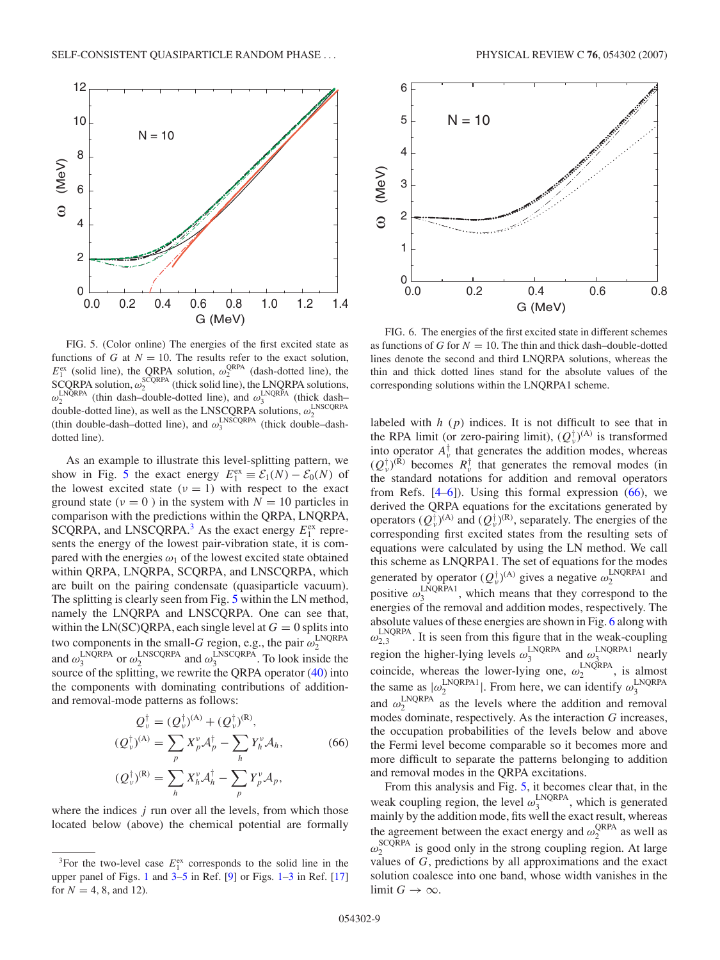<span id="page-8-0"></span>

FIG. 5. (Color online) The energies of the first excited state as functions of *G* at  $N = 10$ . The results refer to the exact solution,  $E_1^{\text{ex}}$  (solid line), the QRPA solution,  $\omega_2^{\text{QRPA}}$  (dash-dotted line), the  $SCQRPA$  solution,  $\omega_2^{SCQRPA}$  (thick solid line), the LNQRPA solutions,  $\omega_2^{\text{LNQRPA}}$  (thin dash–double-dotted line), and  $\omega_3^{\text{LNQRPA}}$  (thick dash– double-dotted line), as well as the LNSCQRPA solutions,  $ω_2^{\text{LNSCQRPA}}$  (thin double-dash-dotted line), and  $ω_3^{\text{LNSCQRPA}}$  (thick double-dashdotted line).

As an example to illustrate this level-splitting pattern, we show in Fig. 5 the exact energy  $E_1^{\text{ex}} \equiv \mathcal{E}_1(N) - \mathcal{E}_0(N)$  of the lowest excited state  $(v = 1)$  with respect to the exact ground state  $(\nu = 0)$  in the system with  $N = 10$  particles in comparison with the predictions within the QRPA, LNQRPA, SCQRPA, and LNSCQRPA.<sup>3</sup> As the exact energy  $E_1^{\text{ex}}$  represents the energy of the lowest pair-vibration state, it is compared with the energies  $\omega_1$  of the lowest excited state obtained within QRPA, LNQRPA, SCQRPA, and LNSCQRPA, which are built on the pairing condensate (quasiparticle vacuum). The splitting is clearly seen from Fig. 5 within the LN method, namely the LNQRPA and LNSCQRPA. One can see that, within the LN(SC)QRPA, each single level at  $G = 0$  splits into two components in the small-*G* region, e.g., the pair  $\omega_2^{\text{LNQRPA}}$  and  $\omega_3^{\text{LNQRPA}}$  or  $\omega_2^{\text{LNSCQRPA}}$  and  $\omega_3^{\text{LNSCQRPA}}$ . To look inside the source of the splitting, we rewrite the QRPA operator [\(40\)](#page-3-0) into the components with dominating contributions of additionand removal-mode patterns as follows:

$$
Q_{\nu}^{\dagger} = (Q_{\nu}^{\dagger})^{(A)} + (Q_{\nu}^{\dagger})^{(R)},
$$
  
\n
$$
(Q_{\nu}^{\dagger})^{(A)} = \sum_{p} X_{p}^{\nu} A_{p}^{\dagger} - \sum_{h} Y_{h}^{\nu} A_{h},
$$
  
\n
$$
(Q_{\nu}^{\dagger})^{(R)} = \sum_{h} X_{h}^{\nu} A_{h}^{\dagger} - \sum_{p} Y_{p}^{\nu} A_{p},
$$
  
\n(66)

where the indices *j* run over all the levels, from which those located below (above) the chemical potential are formally



FIG. 6. The energies of the first excited state in different schemes as functions of *G* for  $N = 10$ . The thin and thick dash-double-dotted lines denote the second and third LNQRPA solutions, whereas the thin and thick dotted lines stand for the absolute values of the corresponding solutions within the LNQRPA1 scheme.

labeled with *h* (*p*) indices. It is not difficult to see that in the RPA limit (or zero-pairing limit),  $(Q_v^{\dagger})^{(A)}$  is transformed into operator  $A_{\nu}^{\dagger}$  that generates the addition modes, whereas  $(Q_{\nu}^{\dagger})^{(R)}$  becomes  $R_{\nu}^{\dagger}$  that generates the removal modes (in the standard notations for addition and removal operators from Refs.  $[4-6]$ ). Using this formal expression  $(66)$ , we derived the QRPA equations for the excitations generated by operators  $(Q_v^{\dagger})^{(A)}$  and  $(Q_v^{\dagger})^{(R)}$ , separately. The energies of the corresponding first excited states from the resulting sets of equations were calculated by using the LN method. We call this scheme as LNQRPA1. The set of equations for the modes generated by operator  $(Q_v^{\dagger})^{(A)}$  gives a negative  $\omega_2^{\text{LNQRPA1}}$  and positive  $\omega_3^{\text{LNQRPA1}}$ , which means that they correspond to the energies of the removal and addition modes, respectively. The absolute values of these energies are shown in Fig. 6 along with  $\omega_{2,3}^{\text{LNQRPA}}$ . It is seen from this figure that in the weak-coupling region the higher-lying levels  $\omega_3^{\text{LNQRPA}}$  and  $\omega_3^{\text{LNQRPA}}$  nearly coincide, whereas the lower-lying one,  $\omega_2^{\text{LNQRPA}}$ , is almost the same as  $|\omega_2^{\text{LNQRPA1}}|$ . From here, we can identify  $\omega_3^{\text{LNQRPA}}$ and  $\omega_2^{\text{LNQRPA}}$  as the levels where the addition and removal modes dominate, respectively. As the interaction *G* increases, the occupation probabilities of the levels below and above the Fermi level become comparable so it becomes more and more difficult to separate the patterns belonging to addition and removal modes in the QRPA excitations.

From this analysis and Fig. 5, it becomes clear that, in the weak coupling region, the level  $\omega_3^{\text{LNQRPA}}$ , which is generated mainly by the addition mode, fits well the exact result, whereas the agreement between the exact energy and  $\omega_2^{\text{QRPA}}$  as well as  $\omega_2^{\text{SCQRPA}}$  is good only in the strong coupling region. At large values of *G*, predictions by all approximations and the exact solution coalesce into one band, whose width vanishes in the limit  $G \rightarrow \infty$ .

<sup>&</sup>lt;sup>3</sup>For the two-level case  $E_1^{\text{ex}}$  corresponds to the solid line in the upper panel of Figs. [1](#page-5-0) and  $3-5$  in Ref. [\[9\]](#page-11-0) or Figs.  $1-3$  in Ref. [\[17\]](#page-11-0) for  $N = 4, 8,$  and 12).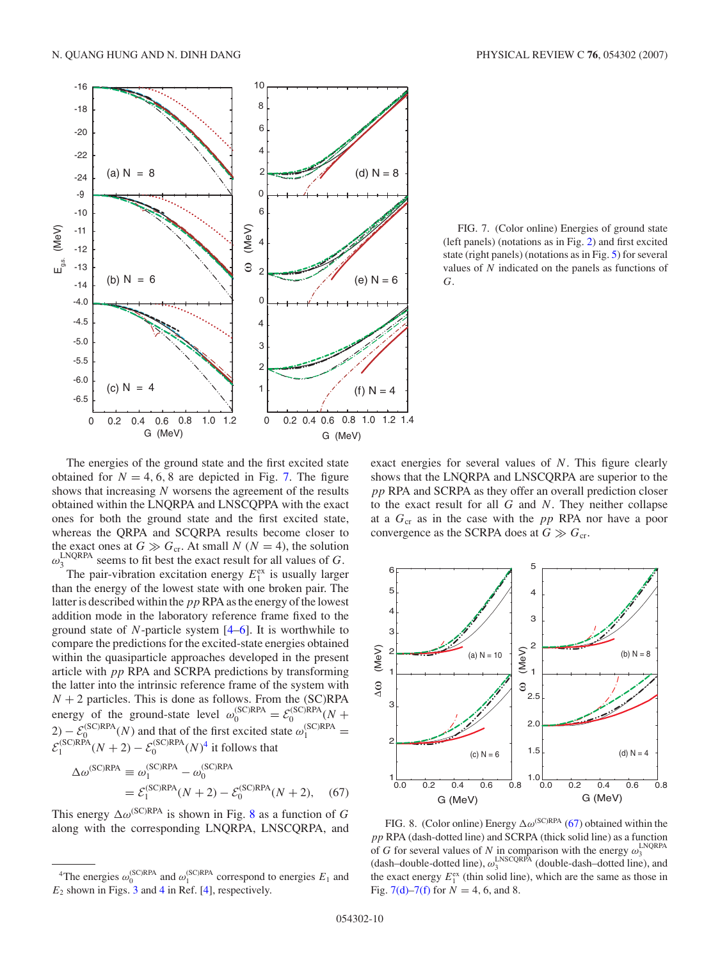

FIG. 7. (Color online) Energies of ground state (left panels) (notations as in Fig. [2\)](#page-5-0) and first excited state (right panels) (notations as in Fig. [5\)](#page-8-0) for several values of *N* indicated on the panels as functions of *G*.

The energies of the ground state and the first excited state obtained for  $N = 4, 6, 8$  are depicted in Fig. 7. The figure shows that increasing *N* worsens the agreement of the results obtained within the LNQRPA and LNSCQPPA with the exact ones for both the ground state and the first excited state, whereas the QRPA and SCQRPA results become closer to the exact ones at  $G \gg G_{cr}$ . At small *N* ( $N = 4$ ), the solution  $\omega_3^{\text{LNQRPA}}$  seems to fit best the exact result for all values of *G*.  $\omega_3^{\text{LNQRPA}}$  seems to fit best the exact result for all values of *G*.

The pair-vibration excitation energy  $E_1^{\text{ex}}$  is usually larger than the energy of the lowest state with one broken pair. The latter is described within the pp RPA as the energy of the lowest addition mode in the laboratory reference frame fixed to the ground state of *N*-particle system [\[4–6\]](#page-11-0). It is worthwhile to compare the predictions for the excited-state energies obtained within the quasiparticle approaches developed in the present article with *pp* RPA and SCRPA predictions by transforming the latter into the intrinsic reference frame of the system with  $N + 2$  particles. This is done as follows. From the (SC)RPA energy of the ground-state level  $\omega_0^{\text{(SC)RPA}} = \mathcal{E}_0^{\text{(SC)RPA}}(N +$ 2) –  $\mathcal{E}_0^{(\text{SC})\text{RPA}}(N)$  and that of the first excited state  $\omega_1^{(\text{SC})\text{RPA}} =$ <br>  $\mathcal{E}_1^{(\text{SC})\text{RPA}}(N+2) - \mathcal{E}_0^{(\text{SC})\text{RPA}}(N)^4$  it follows that

$$
\Delta \omega^{(\text{SC})\text{RPA}} \equiv \omega_1^{(\text{SC})\text{RPA}} - \omega_0^{(\text{SC})\text{RPA}} \n= \mathcal{E}_1^{(\text{SC})\text{RPA}}(N+2) - \mathcal{E}_0^{(\text{SC})\text{RPA}}(N+2),
$$
\n(67)

This energy  $\Delta \omega^{(\text{SC})\text{RPA}}$  is shown in Fig. 8 as a function of *G* along with the corresponding LNQRPA, LNSCQRPA, and

exact energies for several values of *N*. This figure clearly shows that the LNQRPA and LNSCQRPA are superior to the *pp* RPA and SCRPA as they offer an overall prediction closer to the exact result for all *G* and *N*. They neither collapse at a *G*cr as in the case with the *pp* RPA nor have a poor convergence as the SCRPA does at  $G \gg G_{cr}$ .



FIG. 8. (Color online) Energy  $\Delta \omega^{\text{(SC)RPA}}$  (67) obtained within the *pp* RPA (dash-dotted line) and SCRPA (thick solid line) as a function of *G* for several values of *N* in comparison with the energy  $\omega_3^{\text{LNQRPA}}$ <br>(dash–double-dotted line),  $\omega_3^{\text{LNSCQRPA}}$  (double-dash–dotted line), and the exact energy  $E_1^{\text{ex}}$  (thin solid line), which are the same as those in Fig. 7(d)–7(f) for  $N = 4, 6,$  and 8.

<sup>&</sup>lt;sup>4</sup>The energies  $\omega_0^{\text{(SC)RPA}}$  and  $\omega_1^{\text{(SC)RPA}}$  correspond to energies  $E_1$  and  $E_2$  shown in Figs. [3](#page-7-0) and [4](#page-7-0) in Ref. [\[4\]](#page-11-0), respectively.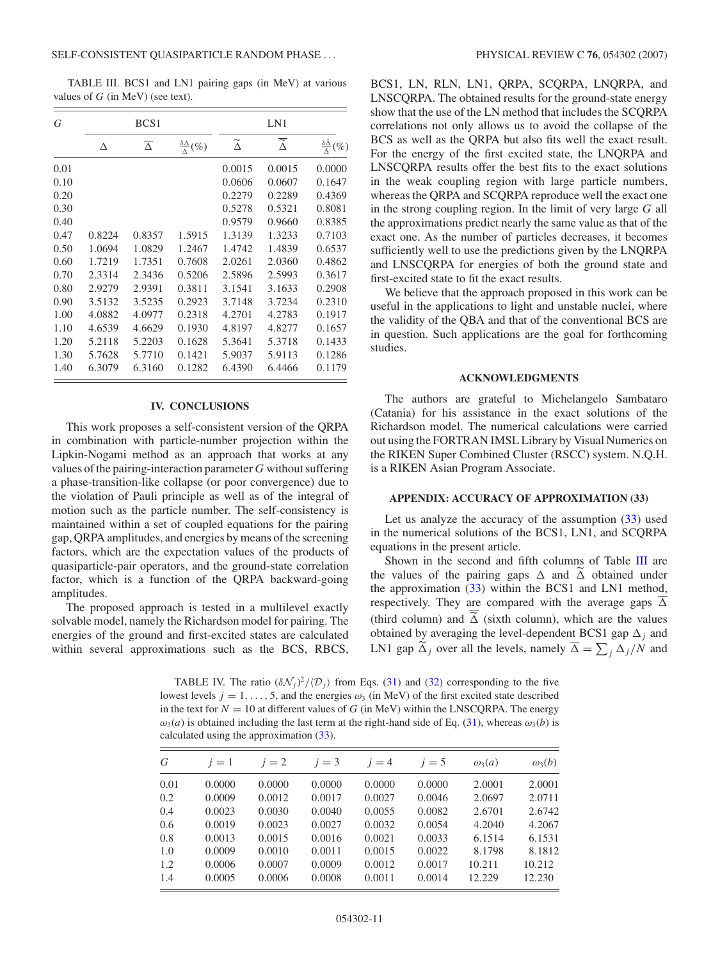<span id="page-10-0"></span>TABLE III. BCS1 and LN1 pairing gaps (in MeV) at various values of *G* (in MeV) (see text).

| G    | BCS <sub>1</sub> |                     |                                    | LN1                  |                                 |                                                     |  |
|------|------------------|---------------------|------------------------------------|----------------------|---------------------------------|-----------------------------------------------------|--|
|      | Δ                | $\overline{\Delta}$ | $\frac{\delta \Delta}{\Delta}$ (%) | $\widetilde{\Delta}$ | $\overline{\widetilde{\Delta}}$ | $\frac{\delta \tilde{\Delta}}{\tilde{\lambda}}(\%)$ |  |
| 0.01 |                  |                     |                                    | 0.0015               | 0.0015                          | 0.0000                                              |  |
| 0.10 |                  |                     |                                    | 0.0606               | 0.0607                          | 0.1647                                              |  |
| 0.20 |                  |                     |                                    | 0.2279               | 0.2289                          | 0.4369                                              |  |
| 0.30 |                  |                     |                                    | 0.5278               | 0.5321                          | 0.8081                                              |  |
| 0.40 |                  |                     |                                    | 0.9579               | 0.9660                          | 0.8385                                              |  |
| 0.47 | 0.8224           | 0.8357              | 1.5915                             | 1.3139               | 1.3233                          | 0.7103                                              |  |
| 0.50 | 1.0694           | 1.0829              | 1.2467                             | 1.4742               | 1.4839                          | 0.6537                                              |  |
| 0.60 | 1.7219           | 1.7351              | 0.7608                             | 2.0261               | 2.0360                          | 0.4862                                              |  |
| 0.70 | 2.3314           | 2.3436              | 0.5206                             | 2.5896               | 2.5993                          | 0.3617                                              |  |
| 0.80 | 2.9279           | 2.9391              | 0.3811                             | 3.1541               | 3.1633                          | 0.2908                                              |  |
| 0.90 | 3.5132           | 3.5235              | 0.2923                             | 3.7148               | 3.7234                          | 0.2310                                              |  |
| 1.00 | 4.0882           | 4.0977              | 0.2318                             | 4.2701               | 4.2783                          | 0.1917                                              |  |
| 1.10 | 4.6539           | 4.6629              | 0.1930                             | 4.8197               | 4.8277                          | 0.1657                                              |  |
| 1.20 | 5.2118           | 5.2203              | 0.1628                             | 5.3641               | 5.3718                          | 0.1433                                              |  |
| 1.30 | 5.7628           | 5.7710              | 0.1421                             | 5.9037               | 5.9113                          | 0.1286                                              |  |
| 1.40 | 6.3079           | 6.3160              | 0.1282                             | 6.4390               | 6.4466                          | 0.1179                                              |  |

### **IV. CONCLUSIONS**

This work proposes a self-consistent version of the QRPA in combination with particle-number projection within the Lipkin-Nogami method as an approach that works at any values of the pairing-interaction parameter *G* without suffering a phase-transition-like collapse (or poor convergence) due to the violation of Pauli principle as well as of the integral of motion such as the particle number. The self-consistency is maintained within a set of coupled equations for the pairing gap, QRPA amplitudes, and energies by means of the screening factors, which are the expectation values of the products of quasiparticle-pair operators, and the ground-state correlation factor, which is a function of the QRPA backward-going amplitudes.

The proposed approach is tested in a multilevel exactly solvable model, namely the Richardson model for pairing. The energies of the ground and first-excited states are calculated within several approximations such as the BCS, RBCS, BCS1, LN, RLN, LN1, QRPA, SCQRPA, LNQRPA, and LNSCQRPA. The obtained results for the ground-state energy show that the use of the LN method that includes the SCQRPA correlations not only allows us to avoid the collapse of the BCS as well as the QRPA but also fits well the exact result. For the energy of the first excited state, the LNQRPA and LNSCQRPA results offer the best fits to the exact solutions in the weak coupling region with large particle numbers, whereas the QRPA and SCQRPA reproduce well the exact one in the strong coupling region. In the limit of very large *G* all the approximations predict nearly the same value as that of the exact one. As the number of particles decreases, it becomes sufficiently well to use the predictions given by the LNQRPA and LNSCQRPA for energies of both the ground state and first-excited state to fit the exact results.

We believe that the approach proposed in this work can be useful in the applications to light and unstable nuclei, where the validity of the QBA and that of the conventional BCS are in question. Such applications are the goal for forthcoming studies.

# **ACKNOWLEDGMENTS**

The authors are grateful to Michelangelo Sambataro (Catania) for his assistance in the exact solutions of the Richardson model. The numerical calculations were carried out using the FORTRAN IMSL Library by Visual Numerics on the RIKEN Super Combined Cluster (RSCC) system. N.Q.H. is a RIKEN Asian Program Associate.

## **APPENDIX: ACCURACY OF APPROXIMATION (33)**

Let us analyze the accuracy of the assumption  $(33)$  used in the numerical solutions of the BCS1, LN1, and SCQRPA equations in the present article.

Shown in the second and fifth columns of Table III are the values of the pairing gaps  $\Delta$  and  $\tilde{\Delta}$  obtained under the approximation [\(33\)](#page-2-0) within the BCS1 and LN1 method, respectively. They are compared with the average gaps  $\overline{\Delta}$ (third column) and  $\tilde{\Delta}$  (sixth column), which are the values obtained by averaging the level-dependent BCS1 gap  $\Delta_j$  and LN1 gap  $\Delta_j$  over all the levels, namely  $\Delta = \sum_j \Delta_j/N$  and

TABLE IV. The ratio  $(\delta \mathcal{N}_j)^2 / (\mathcal{D}_j)$  from Eqs. [\(31\)](#page-2-0) and [\(32\)](#page-2-0) corresponding to the five lowest levels  $j = 1, \ldots, 5$ , and the energies  $\omega_3$  (in MeV) of the first excited state described in the text for  $N = 10$  at different values of *G* (in MeV) within the LNSCQRPA. The energy  $\omega_3(a)$  is obtained including the last term at the right-hand side of Eq. [\(31\)](#page-2-0), whereas  $\omega_3(b)$  is calculated using the approximation [\(33\)](#page-2-0).

| G    | $i=1$  | $i=2$  | $i=3$  | $i=4$  | $i=5$  | $\omega_3(a)$ | $\omega_3(b)$ |
|------|--------|--------|--------|--------|--------|---------------|---------------|
| 0.01 | 0.0000 | 0.0000 | 0.0000 | 0.0000 | 0.0000 | 2.0001        | 2.0001        |
| 0.2  | 0.0009 | 0.0012 | 0.0017 | 0.0027 | 0.0046 | 2.0697        | 2.0711        |
| 0.4  | 0.0023 | 0.0030 | 0.0040 | 0.0055 | 0.0082 | 2.6701        | 2.6742        |
| 0.6  | 0.0019 | 0.0023 | 0.0027 | 0.0032 | 0.0054 | 4.2040        | 4.2067        |
| 0.8  | 0.0013 | 0.0015 | 0.0016 | 0.0021 | 0.0033 | 6.1514        | 6.1531        |
| 1.0  | 0.0009 | 0.0010 | 0.0011 | 0.0015 | 0.0022 | 8.1798        | 8.1812        |
| 1.2  | 0.0006 | 0.0007 | 0.0009 | 0.0012 | 0.0017 | 10.211        | 10.212        |
| 1.4  | 0.0005 | 0.0006 | 0.0008 | 0.0011 | 0.0014 | 12.229        | 12.230        |